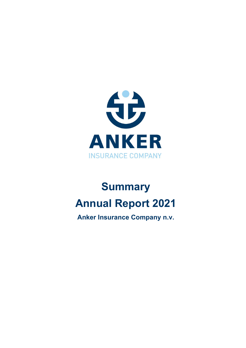

# **Summary Annual Report 2021**

**Anker Insurance Company n.v.**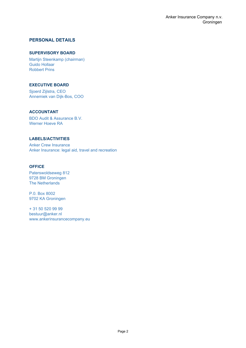#### **PERSONAL DETAILS**

#### **SUPERVISORY BOARD**

Martijn Steenkamp (chairman) Guido Hollaar Robbert Prins

#### **EXECUTIVE BOARD**

Sjoerd Zijlstra, CEO Annemiek van Dijk-Bos, COO

#### **ACCOUNTANT**

BDO Audit & Assurance B.V. Werner Hoeve RA

#### **LABELS/ACTIVITIES**

Anker Crew Insurance Anker Insurance: legal aid, travel and recreation

#### **OFFICE**

Paterswoldseweg 812 9728 BM Groningen The Netherlands

P.0. Box 8002 9702 KA Groningen

+ 31 50 520 99 99 bestuur@anker.nl www.ankerinsurancecompany.eu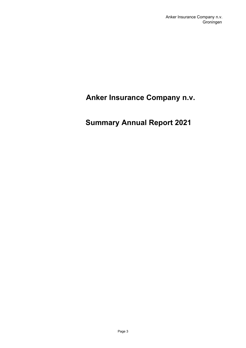# <span id="page-2-0"></span> **Anker Insurance Company n.v.**

# <span id="page-2-1"></span>**Summary Annual Report 2021**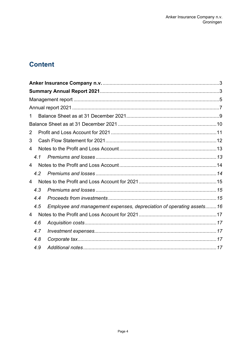# **Content**

| 1                                                                           |  |
|-----------------------------------------------------------------------------|--|
|                                                                             |  |
| $\overline{2}$                                                              |  |
| 3                                                                           |  |
| 4                                                                           |  |
| 4.1                                                                         |  |
| 4                                                                           |  |
| 4.2                                                                         |  |
| 4                                                                           |  |
| 4.3                                                                         |  |
| 4.4                                                                         |  |
| Employee and management expenses, depreciation of operating assets16<br>4.5 |  |
| 4                                                                           |  |
| 4.6                                                                         |  |
| 4.7                                                                         |  |
| 4.8                                                                         |  |
| 4.9                                                                         |  |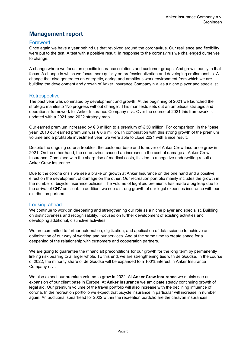# <span id="page-4-0"></span>**Management report**

#### Foreword

Once again we have a year behind us that revolved around the coronavirus. Our resilience and flexibility were put to the test. A test with a positive result. In response to the coronavirus we challenged ourselves to change.

A change where we focus on specific insurance solutions and customer groups. And grow steadily in that focus. A change in which we focus more quickly on professionalization and developing craftsmanship. A change that also generates an energetic, daring and ambitious work environment from which we are building the development and growth of Anker Insurance Company n.v. as a niche player and specialist.

#### **Retrospective**

The past year was dominated by development and growth. At the beginning of 2021 we launched the strategic manifesto "No progress without change". This manifesto sets out an ambitious strategic and operational framework for Anker Insurance Company n.v.. Over the course of 2021 this framework is updated with a 2021 and 2022 strategy map.

Our earned premium increased by  $\epsilon$  8 million to a premium of  $\epsilon$  30 million. For comparison: in the "base year" 2010 our earned premium was  $\epsilon$  6,6 million. In combination with this strong growth of the premium volume and a profitable investment year, we were able to close 2021 with a nice result.

Despite the ongoing corona troubles, the customer base and turnover of Anker Crew Insurance grew in 2021. On the other hand, the coronavirus caused an increase in the cost of damage at Anker Crew Insurance. Combined with the sharp rise of medical costs, this led to a negative underwriting result at Anker Crew Insurance.

Due to the corona crisis we see a brake on growth at Anker Insurance on the one hand and a positive effect on the development of damage on the other. Our recreation portfolio mainly includes the growth in the number of bicycle insurance policies. The volume of legal aid premiums has made a big leap due to the arrival of CNV as client. In addition, we see a strong growth of our legal expenses insurance with our distribution partners.

#### Looking ahead

We continue to work on deepening and strengthening our role as a niche player and specialist. Building on distinctiveness and recognisability. Focused on further development of existing activities and developing additional, distinctive activities.

We are committed to further automation, digitization, and application of data science to achieve an optimization of our way of working and our services. And at the same time to create space for a deepening of the relationship with customers and cooperation partners.

We are going to guarantee the (financial) preconditions for our growth for the long term by permanently linking risk bearing to a larger whole. To this end, we are strengthening ties with de Goudse. In the course of 2022, the minority share of de Goudse will be expanded to a 100% interest in Anker Insurance Company n.v..

We also expect our premium volume to grow in 2022. At **Anker Crew Insurance** we mainly see an expansion of our client base in Europe. At **Anker Insurance** we anticipate steady continuing growth of legal aid. Our premium volume of the travel portfolio will also increase with the declining influence of corona. In the recreation portfolio we expect that bicycle insurance in particular will increase in number again. An additional spearhead for 2022 within the recreation portfolio are the caravan insurances.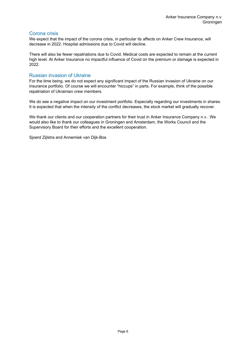#### Corona crisis

We expect that the impact of the corona crisis, in particular its affects on Anker Crew Insurance, will decrease in 2022. Hospital admissions due to Covid will decline.

There will also be fewer repatriations due to Covid. Medical costs are expected to remain at the current high level. At Anker Insurance no impactful influence of Covid on the premium or damage is expected in 2022.

#### Russian invasion of Ukraine

For the time being, we do not expect any significant impact of the Russian invasion of Ukraine on our insurance portfolio. Of course we will encounter "hiccups" in parts. For example, think of the possible repatriation of Ukrainian crew members.

We do see a negative impact on our investment portfolio. Especially regarding our investments in shares. It is expected that when the intensity of the conflict decreases, the stock market will gradually recover.

We thank our clients and our cooperation partners for their trust in Anker Insurance Company n.v.. We would also like to thank our colleagues in Groningen and Amsterdam, the Works Council and the Supervisory Board for their efforts and the excellent cooperation.

Sjoerd Zijlstra and Annemiek van Dijk-Bos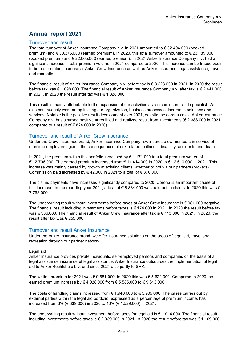# <span id="page-6-0"></span>**Annual report 2021**

#### Turnover and result

The total turnover of Anker Insurance Company n.v. in 2021 amounted to € 32.494.000 (booked premium) and € 30.376.000 (earned premium). In 2020, this total turnover amounted to € 23.189.000 (booked premium) and € 22.065.000 (earned premium). In 2021 Anker Insurance Company n.v. had a significant increase in total premium volume in 2021 compared to 2020. This increase can be traced back to both a premium increase at Anker Crew Insurance as well as Anker Insurance, legal assistance, travel and recreation.

The financial result of Anker Insurance Company n.v. before tax is € 3.223.000 in 2021. In 2020 the result before tax was € 1.898.000. The financial result of Anker Insurance Company n.y. after tax is € 2.441.000 in 2021. In 2020 the result after tax was € 1.328.000.

This result is mainly attributable to the expansion of our activities as a niche insurer and specialist. We also continuously work on optimizing our organization, business processes, insurance solutions and services. Notable is the positive result development over 2021, despite the corona crisis. Anker Insurance Company n.v. has a strong positive unrealized and realized result from investments (€ 2.388.000 in 2021 compared to a result of  $\epsilon$  824,000 in 2020).

#### Turnover and result of Anker Crew Insurance

Under the Crew Insurance brand, Anker Insurance Company n.v. insures crew members in service of maritime employers against the consequences of risk related to illness, disability, accidents and death.

In 2021, the premium within this portfolio increased by  $\epsilon$  1.171.000 to a total premium written of € 12.706.000. The earned premium increased from € 11.414.000 in 2020 to € 12.610.000 in 2021. This increase was mainly caused by growth at existing clients, whether or not via our partners (brokers). Commission paid increased by  $\xi$  42.000 in 2021 to a total of  $\xi$  870.000.

The claims payments have increased significantly compared to 2020. Corona is an important cause of this increase. In the reporting year 2021, a total of  $\epsilon$  8.884.000 was paid out in claims. In 2020 this was  $\epsilon$ 7.768.000.

The underwriting result without investments before taxes at Anker Crew Insurance is  $\epsilon$  981.000 negative. The financial result including investments before taxes is € 174.000 in 2021. In 2020 the result before tax was € 366.000. The financial result of Anker Crew Insurance after tax is € 113.000 in 2021. In 2020, the result after tax was  $\epsilon$  255.000.

#### Turnover and result Anker Insurance

Under the Anker Insurance brand, we offer insurance solutions on the areas of legal aid, travel and recreation through our partner network.

#### Legal aid

Anker Insurance provides private individuals, self-employed persons and companies on the basis of a legal assistance insurance of legal assistance. Anker Insurance outsources the implementation of legal aid to Anker Rechtshulp b.v. and since 2021 also partly to SRK.

The written premium for 2021 was  $\in$  9.681.000. In 2020 this was  $\in$  5.622.000. Compared to 2020 the earned premium increase by € 4.028.000 from € 5.585.000 to € 9.613.000.

The costs of handling claims increased from  $\epsilon$  1.940.000 to  $\epsilon$  3.909.000. The cases carries out by external parties within the legal aid portfolio, expressed as a percentage of premium income, has increased from 6% (€ 339.000) in 2020 to 16% (€ 1.529.000) in 2021.

The underwriting result without investment before taxes for legal aid is € 1.014.000. The financial result including investments before taxes is € 2.039.000 in 2021. In 2020 the result before tax was € 1.169.000.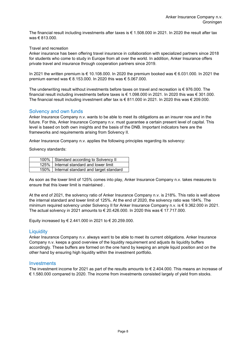The financial result including investments after taxes is  $\epsilon$  1.508.000 in 2021. In 2020 the result after tax was € 813.000.

Travel and recreation

Anker insurance has been offering travel insurance in collaboration with specialized partners since 2018 for students who come to study in Europe from all over the world. In addition, Anker Insurance offers private travel and insurance through cooperation partners since 2019.

In 2021 the written premium is € 10.108.000. In 2020 the premium booked was € 6.031.000. In 2021 the premium earned was € 8.153.000. In 2020 this was € 5.067.000.

The underwriting result without investments before taxes on travel and recreation is  $\epsilon$  976.000. The financial result including investments before taxes is € 1.098.000 in 2021. In 2020 this was € 301.000. The financial result including investment after tax is € 811.000 in 2021. In 2020 this was € 209.000.

#### Solvency and own funds

Anker Insurance Company n.v. wants to be able to meet its obligations as an insurer now and in the future. For this, Anker Insurance Company n.v. must guarantee a certain present level of capital. This level is based on both own insights and the basis of the DNB. Important indicators here are the frameworks and requirements arising from Solvency II.

Anker Insurance Company n.v. applies the following principles regarding its solvency:

Solvency standards:

| 100%   Standard according to Solvency II     |
|----------------------------------------------|
| 125%   Internal standard and lower limit     |
| 150%   Internal standard and target standard |

As soon as the lower limit of 125% comes into play, Anker Insurance Company n.v. takes measures to ensure that this lower limit is maintained .

At the end of 2021, the solvency ratio of Anker Insurance Company n.v. is 218%. This ratio is well above the internal standard and lower limit of 125%. At the end of 2020, the solvency ratio was 184%. The minimum required solvency under Solvency II for Anker Insurance Company n.v. is € 9.362.000 in 2021. The actual solvency in 2021 amounts to € 20.426.000. In 2020 this was € 17.717.000.

Equity increased by € 2.441.000 in 2021 to € 20.259.000.

#### **Liquidity**

Anker Insurance Company n.v. always want to be able to meet its current obligations. Anker Insurance Company n.v. keeps a good overview of the liquidity requirement and adjusts its liquidity buffers accordingly. These buffers are formed on the one hand by keeping an ample liquid position and on the other hand by ensuring high liquidity within the investment portfolio.

#### **Investments**

The investment income for 2021 as part of the results amounts to  $\epsilon$  2.404.000. This means an increase of € 1.580.000 compared to 2020. The income from investments consisted largely of yield from stocks.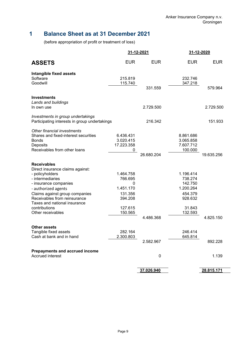# <span id="page-8-0"></span>**1 Balance Sheet as at 31 December 2021**

(before appropriation of profit or treatment of loss)

|                                                                                                                                                                                                                                                                                       |                                                                                    | 31-12-2021 | 31-12-2020                                                                              |            |
|---------------------------------------------------------------------------------------------------------------------------------------------------------------------------------------------------------------------------------------------------------------------------------------|------------------------------------------------------------------------------------|------------|-----------------------------------------------------------------------------------------|------------|
| <b>ASSETS</b>                                                                                                                                                                                                                                                                         | <b>EUR</b>                                                                         | <b>EUR</b> | <b>EUR</b>                                                                              | <b>EUR</b> |
| <b>Intangible fixed assets</b><br>Software<br>Goodwill                                                                                                                                                                                                                                | 215.819<br>115.740                                                                 | 331.559    | 232.746<br>347.218                                                                      | 579.964    |
|                                                                                                                                                                                                                                                                                       |                                                                                    |            |                                                                                         |            |
| <b>Investments</b><br>Lands and buildings<br>In own use                                                                                                                                                                                                                               |                                                                                    | 2.729.500  |                                                                                         | 2.729.500  |
| Investments in group undertakings<br>Participating interests in group undertakings                                                                                                                                                                                                    |                                                                                    | 216.342    |                                                                                         | 151.933    |
| Other financial investments<br>Shares and fixed-interest securities<br><b>Bonds</b><br>Deposits<br>Receivables from other loans                                                                                                                                                       | 6.436.431<br>3.020.415<br>17.223.358<br>0                                          | 26.680.204 | 8.861.686<br>3.065.858<br>7.607.712<br>100.000                                          | 19.635.256 |
| <b>Receivables</b><br>Direct insurance claims against:<br>- policyholders<br>- intermediaries<br>- insurance companies<br>- authorized agents<br>Claims against group companies<br>Receivables from reinsurance<br>Taxes and national insurance<br>contributions<br>Other receivables | 1.464.758<br>766.695<br>0<br>1.451.170<br>131.356<br>394.208<br>127.615<br>150.565 | 4.486.368  | 1.196.414<br>738.274<br>142.750<br>1.200.264<br>454.379<br>928.632<br>31.843<br>132.593 | 4.825.150  |
| <b>Other assets</b><br>Tangible fixed assets<br>Cash at bank and in hand                                                                                                                                                                                                              | 282.164<br>2.300.803                                                               | 2.582.967  | 246.414<br>645.814                                                                      | 892.228    |
| <b>Prepayments and accrued income</b><br>Accrued interest                                                                                                                                                                                                                             |                                                                                    | 0          |                                                                                         | 1.139      |
|                                                                                                                                                                                                                                                                                       |                                                                                    | 37.026.940 |                                                                                         | 28.815.171 |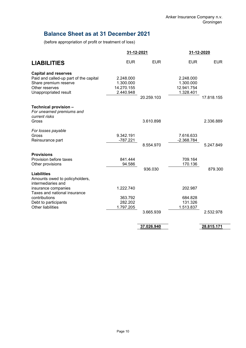# <span id="page-9-0"></span>**Balance Sheet as at 31 December 2021**

(before appropriation of profit or treatment of loss)

|                                                                                                                                           | 31-12-2021                                        |            |                                                   | 31-12-2020 |
|-------------------------------------------------------------------------------------------------------------------------------------------|---------------------------------------------------|------------|---------------------------------------------------|------------|
| <b>LIABILITIES</b>                                                                                                                        | <b>EUR</b>                                        | <b>EUR</b> | <b>EUR</b>                                        | <b>EUR</b> |
| <b>Capital and reserves</b><br>Paid and called-up part of the capital<br>Share premium reserve<br>Other reserves<br>Unappropriated result | 2.248.000<br>1.300.000<br>14.270.155<br>2.440.948 | 20.259.103 | 2.248.000<br>1.300.000<br>12.941.754<br>1.328.401 | 17.818.155 |
| Technical provision -<br>For unearned premiums and<br>current risks                                                                       |                                                   |            |                                                   |            |
| Gross                                                                                                                                     |                                                   | 3.610.898  |                                                   | 2.336.889  |
| For losses payable<br>Gross<br>Reinsurance part                                                                                           | 9.342.191<br>$-787.221$                           | 8.554.970  | 7.616.633<br>$-2.368.784$                         | 5.247.849  |
| <b>Provisions</b><br>Provision before taxes<br>Other provisions                                                                           | 841.444<br>94.586                                 | 936.030    | 709.164<br>170.136                                | 879.300    |
| <b>Liabilities</b><br>Amounts owed to policyholders,<br>intermediaries and                                                                |                                                   |            |                                                   |            |
| insurance companies<br>Taxes and national insurance                                                                                       | 1.222.740                                         |            | 202.987                                           |            |
| contributions<br>Debt to participants<br><b>Other liabilities</b>                                                                         | 363.792<br>282.202<br>1.797.205                   | 3.665.939  | 684.828<br>131.326<br>1.513.837                   | 2.532.978  |
|                                                                                                                                           |                                                   | 37.026.940 |                                                   | 28.815.171 |
|                                                                                                                                           |                                                   |            |                                                   |            |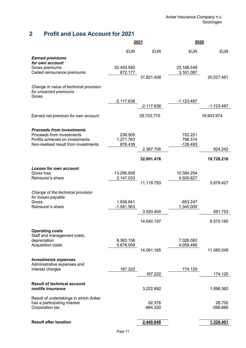# <span id="page-10-0"></span>**2 Profit and Loss Account for 2021**

|                                                                          |              | 2021                 | 2020         |                      |
|--------------------------------------------------------------------------|--------------|----------------------|--------------|----------------------|
|                                                                          | <b>EUR</b>   | <b>EUR</b>           | <b>EUR</b>   | <b>EUR</b>           |
| <b>Earned premiums</b>                                                   |              |                      |              |                      |
| for own account<br>Gross premiums                                        | 32.493.585   |                      | 23.188.548   |                      |
| Ceded reinsurance premiums                                               | 672.177      | 31.821.408           | 3.161.087    | 20.027.461           |
|                                                                          |              |                      |              |                      |
| Change in value of technical provision<br>for unearned premiums<br>Gross |              |                      |              |                      |
|                                                                          | $-2.117.638$ | $-2.117.638$         | $-1.123.487$ | $-1.123.487$         |
|                                                                          |              |                      |              |                      |
| Earned net premium for own account                                       |              | 29.703.770           |              | 18.903.974           |
|                                                                          |              |                      |              |                      |
| <b>Proceeds from investments</b><br>Proceeds from investments            | 239.505      |                      | 152.221      |                      |
| Profits achieved on investments<br>Non-realised result from investments  | 1.271.763    |                      | 798.514      |                      |
|                                                                          | 876.439      | 2.387.706            | $-126.493$   | 824.242              |
|                                                                          |              | 32.091.476           |              | 19.728.216           |
|                                                                          |              |                      |              |                      |
| <b>Losses for own account</b><br>Gross loss                              | 13.266.826   |                      | 10.384.254   |                      |
| Reinsurer's share                                                        | 2.147.033    |                      | 4.505.827    |                      |
|                                                                          |              | 11.119.793           |              | 5.878.427            |
| Change of the technical provision                                        |              |                      |              |                      |
| for losses payable<br>Gross                                              | 1.938.841    |                      | $-653.247$   |                      |
| Reinsurer's share                                                        | $-1.581.563$ | 3.520.404            | 1.345.000    | 691.753              |
|                                                                          |              |                      |              |                      |
|                                                                          |              | 14.640.197           |              | 6.570.180            |
| <b>Operating costs</b>                                                   |              |                      |              |                      |
| Staff and management costs,<br>depreciation                              | 8.383.156    |                      | 7.026.083    |                      |
| Acquisition costs                                                        | 5.678.009    | 14.061.165           | 4.059.466    | 11.085.549           |
|                                                                          |              |                      |              |                      |
| <b>Investments expenses</b><br>Administrative expenses and               |              |                      |              |                      |
| interest charges                                                         | 167.222      |                      | 174.125      |                      |
|                                                                          |              | 167.222              |              | 174.125              |
| <b>Result of technical account</b><br>nonlife insurance                  |              | 3.222.892            |              | 1.898.362            |
| Result of undertakings in which Anker                                    |              |                      |              |                      |
| has a participating interest<br>Corporation tax                          |              | 82.376<br>$-864.320$ |              | 26.705<br>$-596.666$ |
|                                                                          |              |                      |              |                      |
| <b>Result after taxation</b>                                             |              | 2.440.948            |              | 1.328.401            |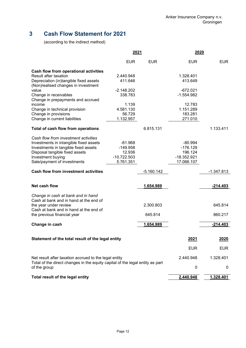# <span id="page-11-0"></span>**3 Cash Flow Statement for 2021**

(according to the indirect method)

|                                                                                               | 2021          |              | 2020         |              |
|-----------------------------------------------------------------------------------------------|---------------|--------------|--------------|--------------|
|                                                                                               | <b>EUR</b>    | <b>EUR</b>   | <b>EUR</b>   | <b>EUR</b>   |
| <b>Cash flow from operational activities</b>                                                  |               |              |              |              |
| Result after taxation                                                                         | 2.440.948     |              | 1.328.401    |              |
| Depreciation (in)tangible fixed assets<br>(Non)realised changes in investment                 | 411.646       |              | 413.649      |              |
| value                                                                                         | $-2.148.202$  |              | $-672.021$   |              |
| Change in receivables<br>Change in prepayments and accrued                                    | 338.783       |              | $-1.554.982$ |              |
| income                                                                                        | 1.139         |              | 12.783       |              |
| Change in technical provision                                                                 | 4.581.130     |              | 1.151.289    |              |
| Change in provisions                                                                          | 56.729        |              | 183.281      |              |
| Change in current liabilities                                                                 | 1.132.957     |              | 271.010      |              |
| Total of cash flow from operations                                                            |               | 6.815.131    |              | 1.133.411    |
| Cash flow from investment activities                                                          |               |              |              |              |
| Investments in intangible fixed assets                                                        | $-61.968$     |              | $-80.994$    |              |
| Investments in tangible fixed assets                                                          | $-149.958$    |              | $-176.129$   |              |
| Disposal tangible fixed assets                                                                | 12.936        |              | 196.124      |              |
| Investment buying                                                                             | $-10.722.503$ |              | -18.352.921  |              |
| Sale/payment of investments                                                                   | 5.761.351     |              | 17.066.107   |              |
| <b>Cash flow from investment activities</b>                                                   |               | $-5.160.142$ |              | $-1.347.813$ |
| Net cash flow                                                                                 |               | 1.654.989    |              | $-214.403$   |
| Change in cash at bank and in hand                                                            |               |              |              |              |
| Cash at bank and in hand at the end of                                                        |               |              |              |              |
| the year under review                                                                         |               | 2.300.803    |              | 645.814      |
| Cash at bank and in hand at the end of<br>the previous financial year                         |               | 645.814      |              | 860.217      |
|                                                                                               |               |              |              |              |
| Change in cash                                                                                |               | 1.654.989    |              | $-214.403$   |
| Statement of the total result of the legal entity                                             |               |              | 2021         | 2020         |
|                                                                                               |               |              |              |              |
|                                                                                               |               |              | <b>EUR</b>   | <b>EUR</b>   |
| Net result after taxation accrued to the legal entity                                         |               |              | 2.440.948    | 1.328.401    |
| Total of the direct changes in the equity capital of the legal entity as part<br>of the group |               |              | 0            | 0            |
| Total result of the legal entity                                                              |               |              | 2.440.948    | 1.328.401    |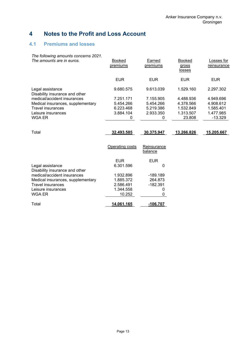# <span id="page-12-0"></span>**4 Notes to the Profit and Loss Account**

### <span id="page-12-1"></span>**4.1 Premiums and losses**

| The following amounts concerns 2021.               |                           |                        |                                         |                           |
|----------------------------------------------------|---------------------------|------------------------|-----------------------------------------|---------------------------|
| The amounts are in euros.                          | <b>Booked</b><br>premiums | Earned<br>premiums     | <b>Booked</b><br>gross<br><u>losses</u> | Losses for<br>reinsurance |
|                                                    | <b>EUR</b>                | <b>EUR</b>             | <b>EUR</b>                              | <b>EUR</b>                |
| Legal assistance<br>Disability insurance and other | 9.680.575                 | 9.613.039              | 1.529.160                               | 2.297.302                 |
| medical/accident insurances                        | 7.251.171                 | 7.155.905              | 4.488.936                               | 4.949.696                 |
| Medical insurances, supplementary                  | 5.454.266                 | 5.454.266              | 4.378.566                               | 4.908.612                 |
| Travel insurances                                  | 6.223.468                 | 5.219.386              | 1.532.849                               | 1.585.401                 |
| Leisure insurances                                 | 3.884.104                 | 2.933.350              | 1.313.507                               | 1.477.985                 |
| WGA ER                                             | 0                         | 0                      | 23.808                                  | $-13.329$                 |
|                                                    |                           |                        |                                         |                           |
| Total                                              | 32.493.585                | 30.375.947             | 13.266.826                              | 15.205.667                |
|                                                    | Operating costs           | Reinsurance<br>balance |                                         |                           |
|                                                    | <b>EUR</b>                | <b>EUR</b>             |                                         |                           |
| Legal assistance<br>Disability insurance and other | 6.301.596                 | $\mathbf{0}$           |                                         |                           |
| medical/accident insurances                        | 1.932.896                 | $-189.189$             |                                         |                           |
| Medical insurances, supplementary                  | 1.885.372                 | 264.873                |                                         |                           |
| <b>Travel insurances</b>                           | 2.586.491                 | $-182.391$             |                                         |                           |
| Leisure insurances                                 | 1.344.558                 | 0                      |                                         |                           |
| WGA ER                                             | 10.252                    | 0                      |                                         |                           |
| Total                                              | 14.061.165                | $-106.707$             |                                         |                           |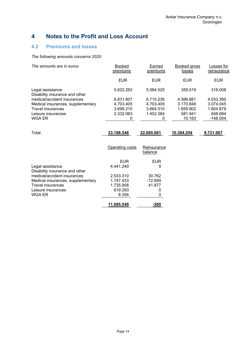# <span id="page-13-0"></span>**4 Notes to the Profit and Loss Account**

### <span id="page-13-1"></span>**4.2 Premiums and losses**

*The following amounts concerns 2020.* 

| <b>Booked</b><br>premiums | Earned<br>premiums      | Booked gross<br>losses | Losses for<br>reinsurance |
|---------------------------|-------------------------|------------------------|---------------------------|
| <b>EUR</b>                | <b>EUR</b>              | <b>EUR</b>             | <b>EUR</b>                |
| 5.622.262                 | 5.584.525               | 359,519                | 318,008                   |
| 6.831.607                 | 6.710.236               | 4.596.881              | 4.033.395                 |
| 4.703.405                 | 4.703.405               | 3.170.849              | 3.074.045                 |
| 3.699.210                 | 3.664.510               | 1.659.902              | 1.804.879                 |
| 2.332.063                 | 1.402.384               | 581.941                | 648.684                   |
| 0                         | 0                       | 15.163                 | $-148.004$                |
| 23.188.548                | 22.065.061              | 10.384.254             | 9.731.007                 |
| Operating costs           | Reinsurance<br>balance  |                        |                           |
|                           |                         |                        |                           |
|                           | 0                       |                        |                           |
|                           |                         |                        |                           |
| 2.533.310                 | 30.762                  |                        |                           |
| 1.747.433                 | -72.899                 |                        |                           |
| 1.735.908                 | 41.877                  |                        |                           |
| 619.293                   | 0                       |                        |                           |
| 8.356                     | 0                       |                        |                           |
| 11.085.549                |                         |                        |                           |
|                           | <b>EUR</b><br>4.441.249 | <b>EUR</b><br>$-260$   |                           |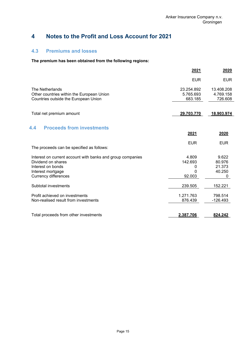# <span id="page-14-0"></span>**4 Notes to the Profit and Loss Account for 2021**

#### <span id="page-14-1"></span>**4.3 Premiums and losses**

### **The premium has been obtained from the following regions:**

<span id="page-14-2"></span>

|                                                                                                                                                           | 2021                                 | 2020                                     |
|-----------------------------------------------------------------------------------------------------------------------------------------------------------|--------------------------------------|------------------------------------------|
|                                                                                                                                                           | <b>EUR</b>                           | <b>EUR</b>                               |
| The Netherlands<br>Other countries within the European Union<br>Countries outside the European Union                                                      | 23.254.892<br>5.765.693<br>683.185   | 13.408.208<br>4.769.158<br>726.608       |
| Total net premium amount                                                                                                                                  | 29.703.770                           | 18.903.974                               |
| <b>Proceeds from investments</b><br>4.4                                                                                                                   | 2021                                 | 2020                                     |
| The proceeds can be specified as follows:                                                                                                                 | <b>EUR</b>                           | <b>EUR</b>                               |
| Interest on current account with banks and group companies<br>Dividend on shares<br>Interest on bonds<br>Interest mortgage<br><b>Currency differences</b> | 4.809<br>142.693<br>0<br>0<br>92.003 | 9.622<br>80.976<br>21.373<br>40.250<br>0 |
| Subtotal investments                                                                                                                                      | 239.505                              | 152.221                                  |
| Profit achieved on investments<br>Non-realised result from investments                                                                                    | 1.271.763<br>876.439                 | 798.514<br>$-126.493$                    |
| Total proceeds from other investments                                                                                                                     | 2.387.706                            | 824.242                                  |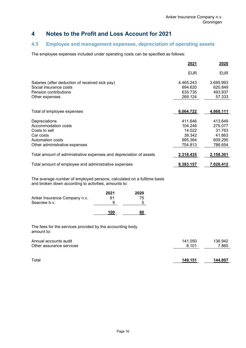# **4 Notes to the Profit and Loss Account for 2021**

#### <span id="page-15-0"></span>**4.5 Employee and management expenses, depreciation of operating assets**

The employee expenses included under operating costs can be specified as follows:

|                                                                                                                         | 2021                                                         | 2020                                                         |
|-------------------------------------------------------------------------------------------------------------------------|--------------------------------------------------------------|--------------------------------------------------------------|
|                                                                                                                         | <b>EUR</b>                                                   | <b>EUR</b>                                                   |
| Salaries (after deduction of received sick pay)<br>Social insurance costs<br>Pension contributions<br>Other expenses    | 4.465.243<br>694.620<br>635.735<br>269.124                   | 3.695.993<br>620.849<br>493.937<br>57.333                    |
| Total of employee expenses                                                                                              | 6.064.722                                                    | 4.868.111                                                    |
| Depreciations<br>Accommodation costs<br>Costs to sell<br>Car costs<br>Automation costs<br>Other administrative expenses | 411.646<br>104.248<br>14.022<br>38.342<br>995.364<br>754.813 | 413.649<br>275.077<br>31.763<br>41.863<br>609.295<br>786.654 |
| Total amount of administrative expenses and depreciation of assets                                                      | 2.318.435                                                    | 2.158.301                                                    |
| Total amount of employee and administrative expenses                                                                    | 8.383.157                                                    | 7.026.412                                                    |

The average number of employed persons, calculated on a fulltime basis and broken down according to activities, amounts to:

| Anker Insurance Company n.v.<br>Seacrew b.v. | 2021<br>91<br>u | 2020<br>75 |
|----------------------------------------------|-----------------|------------|
|                                              | 100             |            |

The fees for the services provided by the accounting body amount to:

| Annual accounts audit    | 141.050 | 136.942 |
|--------------------------|---------|---------|
| Other assurance services | 8.101   | 7.865   |
| Total                    | 149.151 | 144.807 |